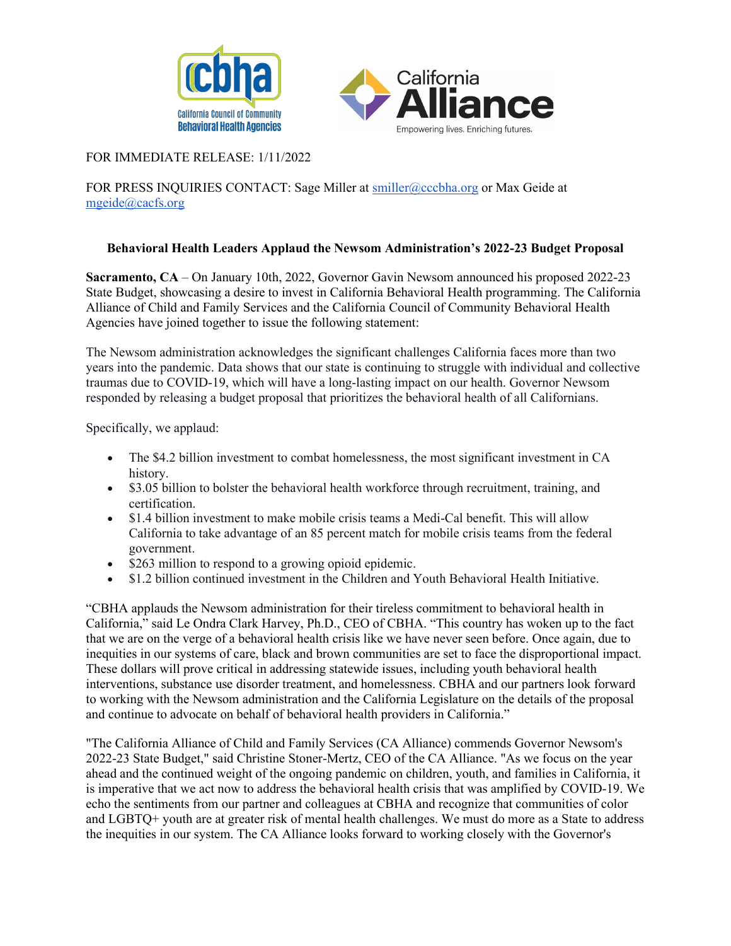



## FOR IMMEDIATE RELEASE: 1/11/2022

FOR PRESS INQUIRIES CONTACT: Sage Miller at [smiller@cccbha.org](mailto:smiller@cccbha.org) or Max Geide at mgeide@cacfs.org

## **Behavioral Health Leaders Applaud the Newsom Administration's 2022-23 Budget Proposal**

**Sacramento, CA** – On January 10th, 2022, Governor Gavin Newsom announced his proposed 2022-23 State Budget, showcasing a desire to invest in California Behavioral Health programming. The California Alliance of Child and Family Services and the California Council of Community Behavioral Health Agencies have joined together to issue the following statement:

The Newsom administration acknowledges the significant challenges California faces more than two years into the pandemic. Data shows that our state is continuing to struggle with individual and collective traumas due to COVID-19, which will have a long-lasting impact on our health. Governor Newsom responded by releasing a budget proposal that prioritizes the behavioral health of all Californians.

Specifically, we applaud:

- The \$4.2 billion investment to combat homelessness, the most significant investment in CA history.
- \$3.05 billion to bolster the behavioral health workforce through recruitment, training, and certification.
- \$1.4 billion investment to make mobile crisis teams a Medi-Cal benefit. This will allow California to take advantage of an 85 percent match for mobile crisis teams from the federal government.
- \$263 million to respond to a growing opioid epidemic.
- \$1.2 billion continued investment in the Children and Youth Behavioral Health Initiative.

"CBHA applauds the Newsom administration for their tireless commitment to behavioral health in California," said Le Ondra Clark Harvey, Ph.D., CEO of CBHA. "This country has woken up to the fact that we are on the verge of a behavioral health crisis like we have never seen before. Once again, due to inequities in our systems of care, black and brown communities are set to face the disproportional impact. These dollars will prove critical in addressing statewide issues, including youth behavioral health interventions, substance use disorder treatment, and homelessness. CBHA and our partners look forward to working with the Newsom administration and the California Legislature on the details of the proposal and continue to advocate on behalf of behavioral health providers in California."

"The California Alliance of Child and Family Services (CA Alliance) commends Governor Newsom's 2022-23 State Budget," said Christine Stoner-Mertz, CEO of the CA Alliance. "As we focus on the year ahead and the continued weight of the ongoing pandemic on children, youth, and families in California, it is imperative that we act now to address the behavioral health crisis that was amplified by COVID-19. We echo the sentiments from our partner and colleagues at CBHA and recognize that communities of color and LGBTQ+ youth are at greater risk of mental health challenges. We must do more as a State to address the inequities in our system. The CA Alliance looks forward to working closely with the Governor's